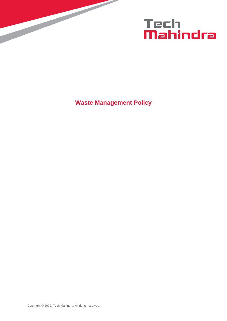

**Waste Management Policy**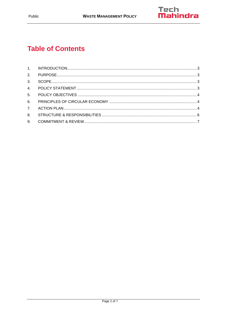

# **Table of Contents**

| 8. |  |
|----|--|
|    |  |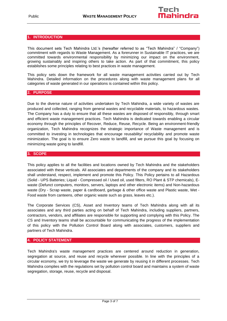#### <span id="page-2-0"></span>**1. INTRODUCTION**

This document sets Tech Mahindra Ltd.'s (hereafter referred to as "Tech Mahindra" / "Company") commitment with regards to Waste Management. As a forerunner in Sustainable IT practices, we are committed towards environmental responsibility by minimizing our impact on the environment, growing sustainably and inspiring others to take action. As part of that commitment, this policy establishes some principles relating to best practices in waste management.

This policy sets down the framework for all waste management activities carried out by Tech Mahindra. Detailed information on the procedures along with waste management plans for all categories of waste generated in our operations is contained within this policy.

#### <span id="page-2-1"></span>**2. PURPOSE**

Due to the diverse nature of activities undertaken by Tech Mahindra, a wide variety of wastes are produced and collected, ranging from general wastes and recyclable materials, to hazardous wastes. The Company has a duty to ensure that all these wastes are disposed of responsibly, through smart and efficient waste management practices. Tech Mahindra is dedicated towards enabling a circular economy through the principles of Recover, Reduce, Reuse, Recycle. Being an environment-friendly organization, Tech Mahindra recognizes the strategic importance of Waste management and is committed to investing in technologies that encourage reusability/ recyclability and promote waste minimization. The goal is to ensure Zero waste to landfill, and we pursue this goal by focusing on minimizing waste going to landfill.

# <span id="page-2-2"></span>**3. SCOPE**

This policy applies to all the facilities and locations owned by Tech Mahindra and the stakeholders associated with these verticals. All associates and departments of the company and its stakeholders shall understand, respect, implement and promote this Policy. This Policy pertains to all Hazardous (Solid - UPS Batteries; Liquid - Compressed oil / Used oil, used filters, RO Plant & STP chemicals), Ewaste (Defunct computers, monitors, servers, laptops and other electronic items) and Non-hazardous waste (Dry - Scrap waste, paper & cardboard, garbage & other office waste and Plastic waste, Wet - Food waste from canteens, other organic waste such as grass, leaves etc.).

The Corporate Services (CS), Asset and Inventory teams of Tech Mahindra along with all its associates and any third parties acting on behalf of Tech Mahindra, including suppliers, partners, contractors, vendors, and affiliates are responsible for supporting and complying with this Policy. The CS and Inventory teams shall be accountable for communicating the progress of the implementation of this policy with the Pollution Control Board along with associates, customers, suppliers and partners of Tech Mahindra.

# <span id="page-2-3"></span>**4. POLICY STATEMENT**

Tech Mahindra's waste management practices are centered around reduction in generation, segregation at source, and reuse and recycle wherever possible. In line with the principles of a circular economy, we try to leverage the waste we generate by reusing it in different processes. Tech Mahindra complies with the regulations set by pollution control board and maintains a system of waste segregation, storage, reuse, recycle and disposal.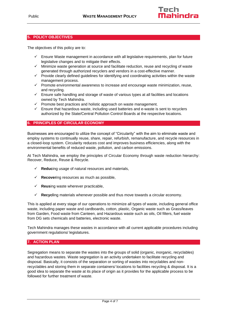# <span id="page-3-0"></span>**5. POLICY OBJECTIVES**

The objectives of this policy are to:

- $\checkmark$  Ensure Waste management in accordance with all legislative requirements, plan for future legislative changes and to mitigate their effects.
- $\checkmark$  Minimize waste generation at source and facilitate reduction, reuse and recycling of waste generated through authorized recyclers and vendors in a cost-effective manner.
- ✓ Provide clearly defined guidelines for identifying and coordinating activities within the waste management process.
- ✓ Promote environmental awareness to increase and encourage waste minimization, reuse, and recycling.
- $\checkmark$  Ensure safe handling and storage of waste of various types at all facilities and locations owned by Tech Mahindra.
- ✓ Promote best practices and holistic approach on waste management.
- $\checkmark$  Ensure that hazardous waste, including used batteries and e-waste is sent to recyclers authorized by the State/Central Pollution Control Boards at the respective locations.

#### <span id="page-3-1"></span>**6. PRINCIPLES OF CIRCULAR ECONOMY**

Businesses are encouraged to utilize the concept of "Circularity" with the aim to eliminate waste and employ systems to continually reuse, share, repair, refurbish, remanufacture, and recycle resources in a closed-loop system. Circularity reduces cost and improves business efficiencies, along with the environmental benefits of reduced waste, pollution, and carbon emissions.

At Tech Mahindra, we employ the principles of Circular Economy through waste reduction hierarchy: Recover, Reduce, Reuse & Recycle.

- ✓ **Reduc**ing usage of natural resources and materials,
- **Recovering resources as much as possible,**
- **Reusing waste wherever practicable,**
- ✓ **Recycl**ing materials whenever possible and thus move towards a circular economy.

This is applied at every stage of our operations to minimize all types of waste, including general office waste, including paper waste and cardboards, cotton, plastic, Organic waste such as Grass/leaves from Garden, Food waste from Canteen, and Hazardous waste such as oils, Oil filters, fuel waste from DG sets chemicals and batteries, electronic waste.

Tech Mahindra manages these wastes in accordance with all current applicable procedures including government regulations/ legislatures.

#### <span id="page-3-2"></span>**7. ACTION PLAN**

Segregation means to separate the wastes into the groups of solid (organic, inorganic, recyclables) and hazardous wastes. Waste segregation is an activity undertaken to facilitate recycling and disposal. Basically, it consists of the separation or sorting of wastes into recyclables and nonrecyclables and storing them in separate containers/ locations to facilities recycling & disposal. It is a good idea to separate the waste at its place of origin as it provides for the applicable process to be followed for further treatment of waste.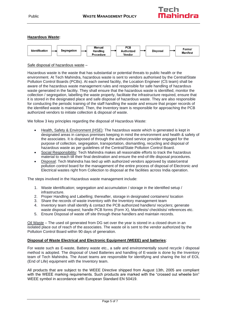# **Hazardous Waste:**



#### Safe disposal of hazardous waste –

Hazardous waste is the waste that has substantial or potential threats to public health or the environment. At Tech Mahindra, hazardous waste is sent to vendors authorised by the Central/State Pollution Control Boards (PCBs). At each owned facility, the Location Engineer (CS team) shall be aware of the hazardous waste management rules and responsible for safe handling of hazardous waste generated in the facility. They shall ensure that the hazardous waste is identified, monitor the collection / segregation, labelling the waste properly, facilitate the infrastructure required, ensure that it is stored in the designated place and safe disposal of hazardous waste. They are also responsible for conducting the periodic training of the staff handling the waste and ensure that proper records of the identified waste is maintained. Then, the Inventory team is responsible for approaching the PCB authorized vendors to initiate collection & disposal of waste.

We follow 3 key principles regarding the disposal of Hazardous Waste:

- Health, Safety & Environment (HSE): The hazardous waste which is generated is kept in designated areas in campus premises keeping in mind the environment and health & safety of the associates. It is disposed of through the authorized service provider engaged for the purpose of collection, segregation, transportation, dismantling, recycling and disposal of hazardous waste as per guidelines of the Central/State Pollution Control Board.
- Social Responsibility: Tech Mahindra makes all reasonable efforts to track the hazardous material to reach till their final destination and ensure the end-of-life disposal procedures.
- Disposal: Tech Mahindra has tied up with authorized vendors approved by state/central pollution control board for the management of the entire process of disposal of Electronic and Electrical wastes right from Collection to disposal at the facilities across India operation.

The steps involved in the Hazardous waste management include:

- 1. Waste identification; segregation and accumulation / storage in the identified setup / infrastructure.
- 2. Proper Handling and Labelling; thereafter, storage in designated containers/ location
- 3. Share the records of waste inventory with the Inventory management team
- 4. Inventory team shall identify & contact the PCB authorized handlers/ recyclers; generate waste disposal request; handle PCB forms (Form X), Manifests/ checklists/ references etc.
- 5. Ensure Disposal of waste off site through these handlers and maintain records.

Oil Waste – The used oil generated from DG set over the year is stored in a closed drum in an isolated place out of reach of the associates. The waste oil is sent to the vendor authorized by the Pollution Control Board within 90 days of generation.

# **Disposal of Waste Electrical and Electronic Equipment (WEEE) and batteries**:

For waste such as E-waste, Battery waste etc., a safe and environmentally sound recycle / disposal method is adopted. The disposal of Used Batteries and handling of E-waste is done by the Inventory team of Tech Mahindra. The Asset teams are responsible for identifying and sharing the list of EOL (End of Life) equipment with the Inventory team.

All products that are subject to the WEEE Directive shipped from August 13th, 2005 are compliant with the WEEE marking requirements. Such products are marked with the "crossed out wheelie bin" WEEE symbol in accordance with European Standard EN 50419.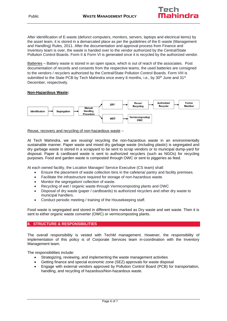After identification of E-waste (defunct computers, monitors, servers, laptops and electrical items) by the asset team, it is stored in a demarcated place as per the guidelines of the E-waste (Management and Handling) Rules, 2011. After the documentation and approval process from Finance and Inventory team is over, the waste is handed over to the vendor authorized by the Central/State Pollution Control Boards. Form II & Form VI is generated once it is recycled by the authorized vendor.

Batteries – Battery waste is stored in an open space, which is out of reach of the associates. Post documentation of records and consents from the respective teams, the used batteries are consigned to the vendors / recyclers authorized by the Central/State Pollution Control Boards. Form VIII is submitted to the State PCB by Tech Mahindra once every 6 months, i.e., by 30<sup>th</sup> June and 31<sup>st</sup> December, respectively.

# **Non-Hazardous Waste:**



#### Reuse, recovery and recycling of non-hazardous waste –

At Tech Mahindra, we are reusing/ recycling the non-hazardous waste in an environmentally sustainable manner. Paper waste and mixed dry garbage waste (including plastic) is segregated and dry garbage waste is stored in a scrapyard to be sent to scrap vendors or to municipal dump-yard for disposal. Paper & cardboard waste is sent to authorized recyclers (such as NGOs) for recycling purposes. Food and garden waste is composted through OWC or sent to piggeries as feed.

At each owned facility, the Location Manager/ Service Executive (CS team) shall:

- Ensure the placement of waste collection bins in the cafeteria/ pantry and facility premises.
- Facilitate the infrastructure required for storage of non-hazardous waste.
- Monitor the segregation/ collection of waste.
- Recycling of wet / organic waste through Vermicomposting plants and OWC
- Disposal of dry waste (paper / cardboards) to authorized recyclers and other dry waste to municipal handlers.
- Conduct periodic meeting / training of the Housekeeping staff.

Food waste is segregated and stored in different bins marked as Dry waste and wet waste. Then it is sent to either organic waste converter (OWC) or vermicomposting plants.

# <span id="page-5-0"></span>**8. STRUCTURE & RESPONSIBILITIES**

The overall responsibility is vested with TechM management. However, the responsibility of implementation of this policy is of Corporate Services team in-coordination with the Inventory Management team.

The responsibilities include:

- Strategizing, reviewing, and implementing the waste management activities
- Getting finance and special economic zone (SEZ) approvals for waste disposal
- Engage with external vendors approved by Pollution Control Board (PCB) for transportation, handling, and recycling of hazardous/Non-hazardous waste.